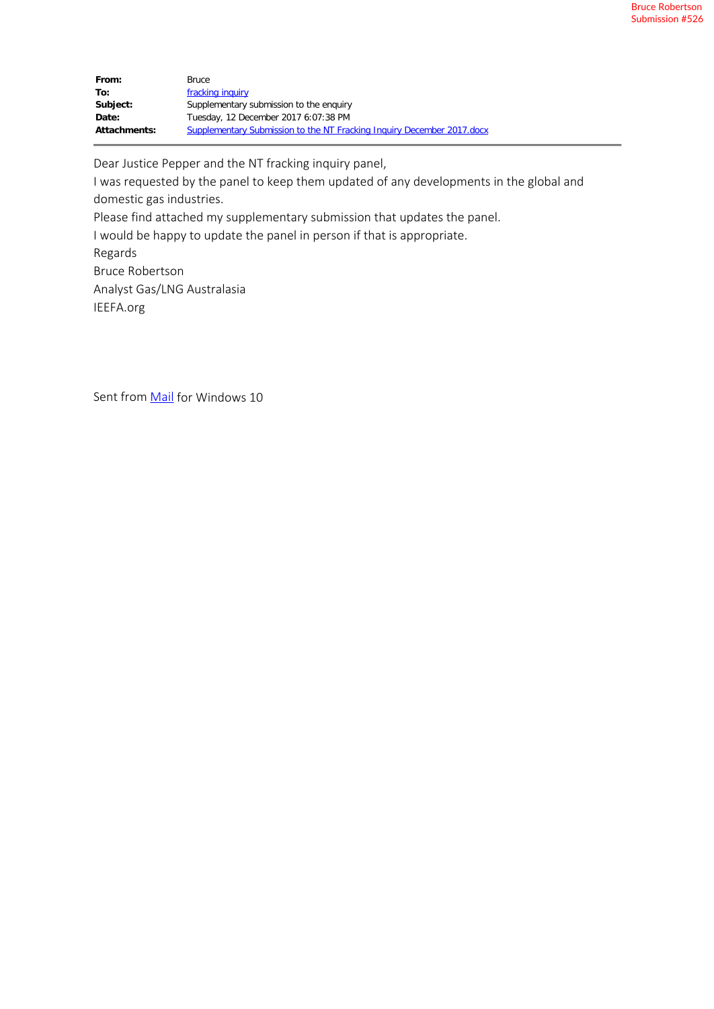| From:               | Bruce                                                                  |
|---------------------|------------------------------------------------------------------------|
| To:                 | fracking inquiry                                                       |
| Subject:            | Supplementary submission to the enguiry                                |
| Date:               | Tuesday, 12 December 2017 6:07:38 PM                                   |
| <b>Attachments:</b> | Supplementary Submission to the NT Fracking Inquiry December 2017.docx |

Dear Justice Pepper and the NT fracking inquiry panel,

I was requested by the panel to keep them updated of any developments in the global and domestic gas industries. Please find attached my supplementary submission that updates the panel.

I would be happy to update the panel in person if that is appropriate.

Regards Bruce Robertson Analyst Gas/LNG Australasia IEEFA.org

Sent from Mail for Windows 10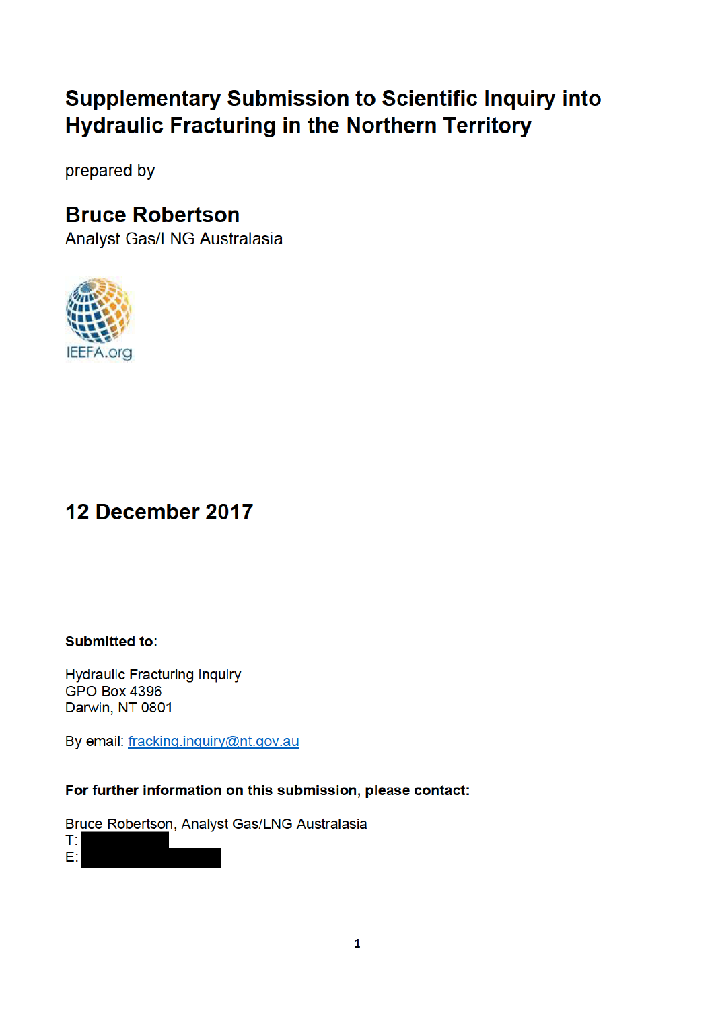## **Supplementary Submission to Scientific Inquiry into Hydraulic Fracturing in the Northern Territory**

prepared by

### **Bruce Robertson**

Analyst Gas/LNG Australasia



# 12 December 2017

**Submitted to:** 

**Hydraulic Fracturing Inquiry GPO Box 4396** Darwin, NT 0801

By email: fracking.inquiry@nt.gov.au

### For further information on this submission, please contact:

Bruce Robertson, Analyst Gas/LNG Australasia

T. E: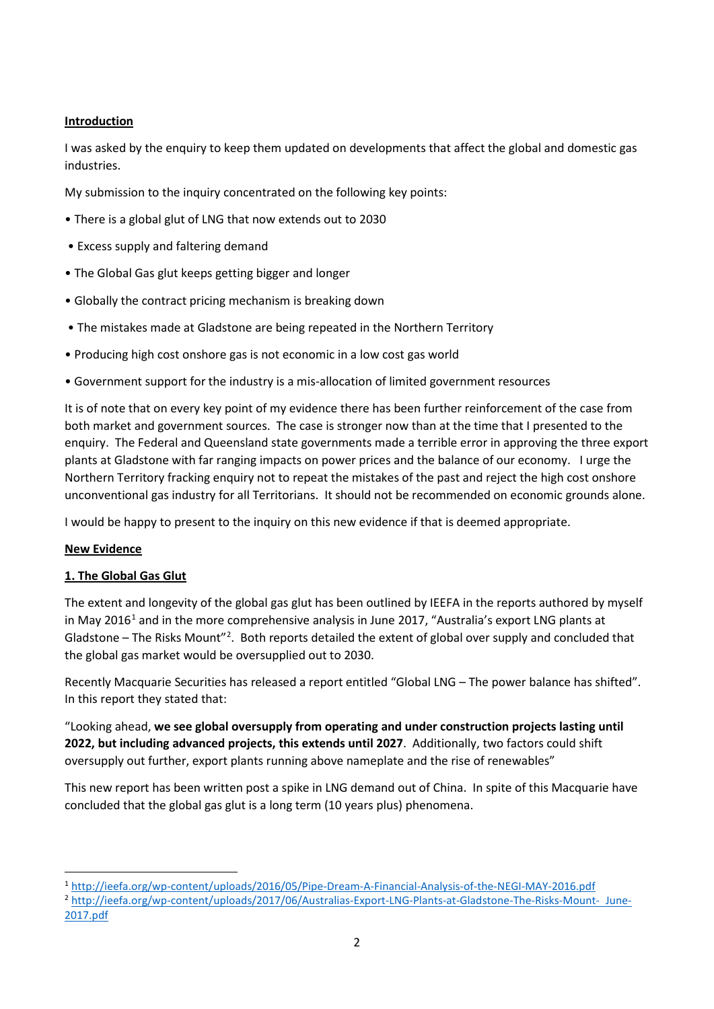#### **Introduction**

I was asked by the enquiry to keep them updated on developments that affect the global and domestic gas industries.

My submission to the inquiry concentrated on the following key points:

- There is a global glut of LNG that now extends out to 2030
- Excess supply and faltering demand
- The Global Gas glut keeps getting bigger and longer
- Globally the contract pricing mechanism is breaking down
- The mistakes made at Gladstone are being repeated in the Northern Territory
- Producing high cost onshore gas is not economic in a low cost gas world
- Government support for the industry is a mis-allocation of limited government resources

It is of note that on every key point of my evidence there has been further reinforcement of the case from both market and government sources. The case is stronger now than at the time that I presented to the enquiry. The Federal and Queensland state governments made a terrible error in approving the three export plants at Gladstone with far ranging impacts on power prices and the balance of our economy. I urge the Northern Territory fracking enquiry not to repeat the mistakes of the past and reject the high cost onshore unconventional gas industry for all Territorians. It should not be recommended on economic grounds alone.

I would be happy to present to the inquiry on this new evidence if that is deemed appropriate.

#### **New Evidence**

 $\overline{a}$ 

#### **1. The Global Gas Glut**

The extent and longevity of the global gas glut has been outlined by IEEFA in the reports authored by myself in May 2016<sup>1</sup> and in the more comprehensive analysis in June 2017, "Australia's export LNG plants at Gladstone - The Risks Mount"<sup>2</sup>. Both reports detailed the extent of global over supply and concluded that the global gas market would be oversupplied out to 2030.

Recently Macquarie Securities has released a report entitled "Global LNG – The power balance has shifted". In this report they stated that:

"Looking ahead, **we see global oversupply from operating and under construction projects lasting until 2022, but including advanced projects, this extends until 2027**. Additionally, two factors could shift oversupply out further, export plants running above nameplate and the rise of renewables"

This new report has been written post a spike in LNG demand out of China. In spite of this Macquarie have concluded that the global gas glut is a long term (10 years plus) phenomena.

<sup>1</sup> http://ieefa.org/wp-content/uploads/2016/05/Pipe-Dream-A-Financial-Analysis-of-the-NEGI-MAY-2016.pdf

<sup>2</sup> http://ieefa.org/wp-content/uploads/2017/06/Australias-Export-LNG-Plants-at-Gladstone-The-Risks-Mount- June-2017.pdf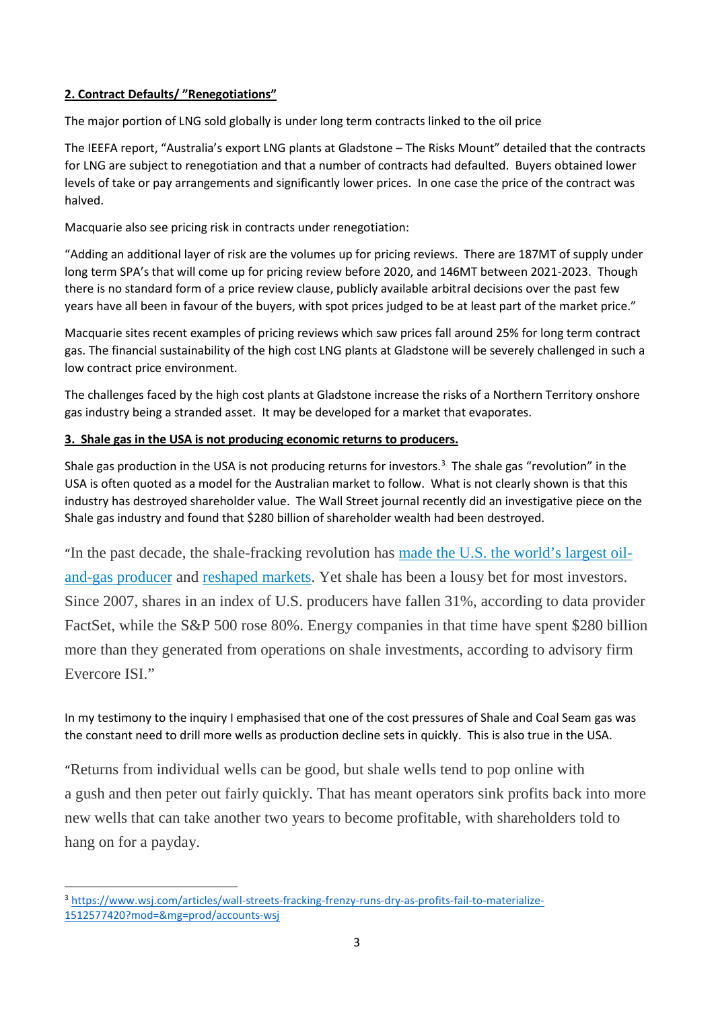#### **2. Contract Defaults/ "Renegotiations"**

The major portion of LNG sold globally is under long term contracts linked to the oil price

The IEEFA report, "Australia's export LNG plants at Gladstone – The Risks Mount" detailed that the contracts for LNG are subject to renegotiation and that a number of contracts had defaulted. Buyers obtained lower levels of take or pay arrangements and significantly lower prices. In one case the price of the contract was halved.

Macquarie also see pricing risk in contracts under renegotiation:

"Adding an additional layer of risk are the volumes up for pricing reviews. There are 187MT of supply under long term SPA's that will come up for pricing review before 2020, and 146MT between 2021-2023. Though there is no standard form of a price review clause, publicly available arbitral decisions over the past few years have all been in favour of the buyers, with spot prices judged to be at least part of the market price."

Macquarie sites recent examples of pricing reviews which saw prices fall around 25% for long term contract gas. The financial sustainability of the high cost LNG plants at Gladstone will be severely challenged in such a low contract price environment.

The challenges faced by the high cost plants at Gladstone increase the risks of a Northern Territory onshore gas industry being a stranded asset. It may be developed for a market that evaporates.

#### **3. Shale gas in the USA is not producing economic returns to producers.**

Shale gas production in the USA is not producing returns for investors.<sup>3</sup> The shale gas "revolution" in the USA is often quoted as a model for the Australian market to follow. What is not clearly shown is that this industry has destroyed shareholder value. The Wall Street journal recently did an investigative piece on the Shale gas industry and found that \$280 billion of shareholder wealth had been destroyed.

"In the past decade, the shale-fracking revolution has made the U.S. the world's largest oiland-gas producer and reshaped markets. Yet shale has been a lousy bet for most investors. Since 2007, shares in an index of U.S. producers have fallen 31%, according to data provider FactSet, while the S&P 500 rose 80%. Energy companies in that time have spent \$280 billion more than they generated from operations on shale investments, according to advisory firm Evercore ISI."

In my testimony to the inquiry I emphasised that one of the cost pressures of Shale and Coal Seam gas was the constant need to drill more wells as production decline sets in quickly. This is also true in the USA.

"Returns from individual wells can be good, but shale wells tend to pop online with a gush and then peter out fairly quickly. That has meant operators sink profits back into more new wells that can take another two years to become profitable, with shareholders told to hang on for a payday.

 $\overline{a}$ 

<sup>3</sup> https://www.wsj.com/articles/wall-streets-fracking-frenzy-runs-dry-as-profits-fail-to-materialize-1512577420?mod=&mg=prod/accounts-wsj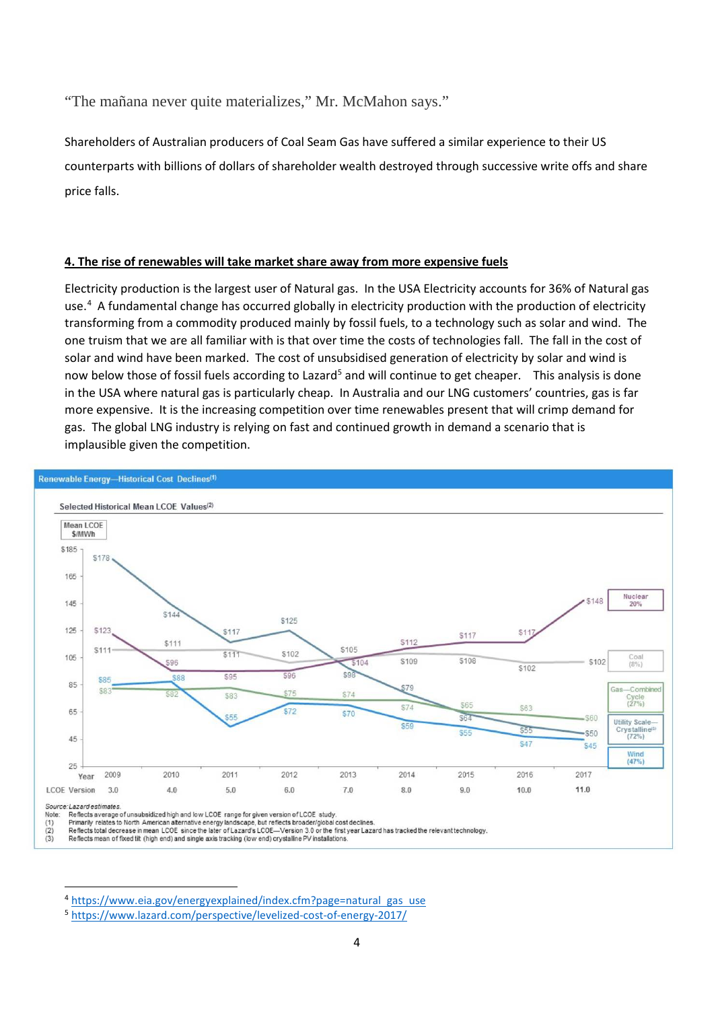"The mañana never quite materializes," Mr. McMahon says."

Shareholders of Australian producers of Coal Seam Gas have suffered a similar experience to their US counterparts with billions of dollars of shareholder wealth destroyed through successive write offs and share price falls.

#### **4. The rise of renewables will take market share away from more expensive fuels**

Electricity production is the largest user of Natural gas. In the USA Electricity accounts for 36% of Natural gas use.<sup>4</sup> A fundamental change has occurred globally in electricity production with the production of electricity transforming from a commodity produced mainly by fossil fuels, to a technology such as solar and wind. The one truism that we are all familiar with is that over time the costs of technologies fall. The fall in the cost of solar and wind have been marked. The cost of unsubsidised generation of electricity by solar and wind is now below those of fossil fuels according to Lazard<sup>5</sup> and will continue to get cheaper. This analysis is done in the USA where natural gas is particularly cheap. In Australia and our LNG customers' countries, gas is far more expensive. It is the increasing competition over time renewables present that will crimp demand for gas. The global LNG industry is relying on fast and continued growth in demand a scenario that is implausible given the competition.



Reflects mean of fixed tilt (high end) and single axis tracking (low end) crystalline PV installations

 $\overline{a}$ 

<sup>4</sup> https://www.eia.gov/energyexplained/index.cfm?page=natural gas use

<sup>5</sup> https://www.lazard.com/perspective/levelized-cost-of-energy-2017/